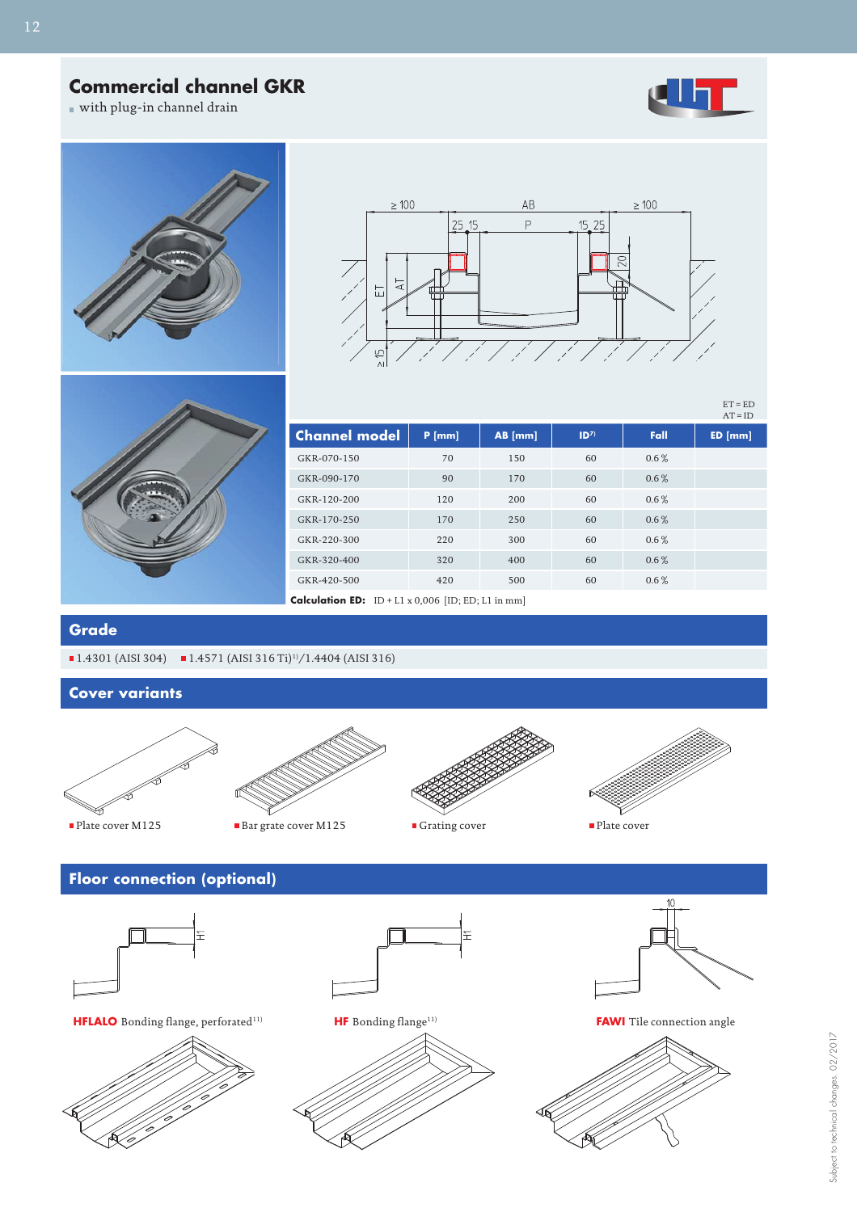## **Commercial channel GKR**

with plug-in channel drain



 $ET = ED$  $AT = ID$ 







| $\Delta I = I U$                                          |          |           |                 |         |        |  |  |  |  |  |
|-----------------------------------------------------------|----------|-----------|-----------------|---------|--------|--|--|--|--|--|
| <b>Channel model</b>                                      | $P$ [mm] | $AB$ [mm] | ID <sup>7</sup> | Fall    | ED[mm] |  |  |  |  |  |
| GKR-070-150                                               | 70       | 150       | 60              | $0.6\%$ |        |  |  |  |  |  |
| GKR-090-170                                               | 90       | 170       | 60              | $0.6\%$ |        |  |  |  |  |  |
| GKR-120-200                                               | 120      | 200       | 60              | $0.6\%$ |        |  |  |  |  |  |
| GKR-170-250                                               | 170      | 250       | 60              | $0.6\%$ |        |  |  |  |  |  |
| GKR-220-300                                               | 220      | 300       | 60              | $0.6\%$ |        |  |  |  |  |  |
| GKR-320-400                                               | 320      | 400       | 60              | $0.6\%$ |        |  |  |  |  |  |
| GKR-420-500                                               | 420      | 500       | 60              | $0.6\%$ |        |  |  |  |  |  |
| <b>Calculation ED:</b> ID + L1 x 0,006 [ID; ED; L1 in mm] |          |           |                 |         |        |  |  |  |  |  |

**Grade**

 $\blacksquare$  1.4301 (AISI 304)  $\blacksquare$  1.4571 (AISI 316 Ti)<sup>11</sup>/1.4404 (AISI 316)

**Cover variants**











## **Floor connection (optional)** E 王 **HFLALO** Bonding flange, perforated<sup>11)</sup> **HF** Bonding flange<sup>11)</sup> **FAWI** Tile connection angle